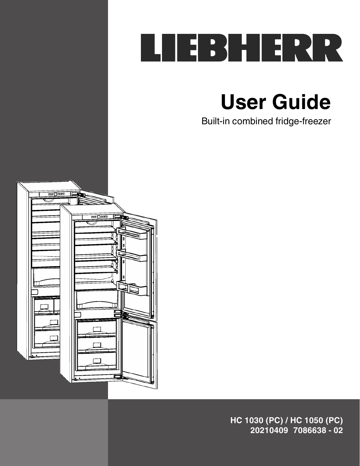

**User Guide**

Built-in combined fridge-freezer



**HC 1030 (PC) / HC 1050 (PC) 20210409 7086638 - 02**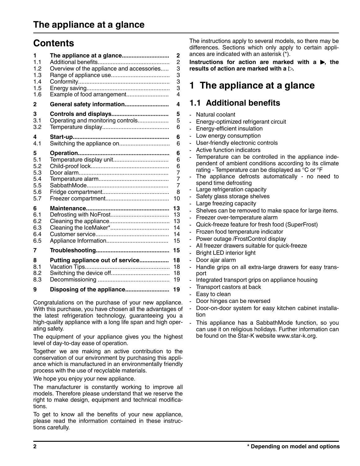# **Contents**

| 1   |                                           | $\overline{2}$ |
|-----|-------------------------------------------|----------------|
| 1.1 |                                           | $\overline{c}$ |
| 1.2 | Overview of the appliance and accessories | 3              |
| 1.3 |                                           | 3              |
| 1.4 |                                           | 3              |
| 1.5 |                                           | 3              |
| 1.6 | Example of food arrangement               | 4              |
| 2   | General safety information                | 4              |
| 3   |                                           | 5              |
| 3.1 | Operating and monitoring controls         | 5              |
| 3.2 |                                           | 6              |
| 4   |                                           | 6              |
| 4.1 | Switching the appliance on                | 6              |
| 5   |                                           | 6              |
| 5.1 |                                           | 6              |
| 5.2 |                                           | 6              |
| 5.3 |                                           | 7              |
| 5.4 |                                           | 7              |
| 5.5 |                                           | $\overline{7}$ |
| 5.6 |                                           | 8              |
| 5.7 |                                           | 10             |
| 6   |                                           | 13             |
| 6.1 |                                           | 13             |
| 6.2 |                                           | 13             |
| 6.3 |                                           | 14             |
| 6.4 |                                           | 14             |
| 6.5 |                                           | 15             |
| 7   |                                           | 15             |
| 8   | Putting appliance out of service          | 18             |
| 8.1 |                                           | 18             |
| 8.2 |                                           | 18             |
| 8.3 |                                           | 19             |
| 9   | Disposing of the appliance                | 19             |

Congratulations on the purchase of your new appliance. With this purchase, you have chosen all the advantages of the latest refrigeration technology, guaranteeing you a high-quality appliance with a long life span and high operating safety.

The equipment of your appliance gives you the highest level of day-to-day ease of operation.

Together we are making an active contribution to the conservation of our environment by purchasing this appliance which is manufactured in an environmentally friendly process with the use of recyclable materials.

We hope you enjoy your new appliance.

The manufacturer is constantly working to improve all models. Therefore please understand that we reserve the right to make design, equipment and technical modifications.

To get to know all the benefits of your new appliance, please read the information contained in these instructions carefully.

The instructions apply to several models, so there may be differences. Sections which only apply to certain appliances are indicated with an asterisk (\*).

Instructions for action are marked with  $a \blacktriangleright$ , the results of action are marked with a  $\triangleright$ .

# **1 The appliance at a glance**

## **1.1 Additional benefits**

- Natural coolant
- Energy-optimized refrigerant circuit
- Energy-efficient insulation
- Low energy consumption
- User-friendly electronic controls
- Active function indicators
- Temperature can be controlled in the appliance independent of ambient conditions according to its climate rating - Temperature can be displayed as °C or °F
- The appliance defrosts automatically no need to spend time defrosting
- Large refrigeration capacity
- Safety glass storage shelves
- Large freezing capacity
- Shelves can be removed to make space for large items.
- Freezer over-temperature alarm
- Quick-freeze feature for fresh food (SuperFrost)
- Frozen food temperature indicator
- Power outage /FrostControl display
- All freezer drawers suitable for quick-freeze
- Bright LED interior light
- Door ajar alarm
- Handle grips on all extra-large drawers for easy transport
- Integrated transport grips on appliance housing
- Transport castors at back
- Easy to clean
- Door hinges can be reversed
- Door-on-door system for easy kitchen cabinet installation
- This appliance has a SabbathMode function, so you can use it on religious holidays. Further information can be found on the Star-K website www.star-k.org.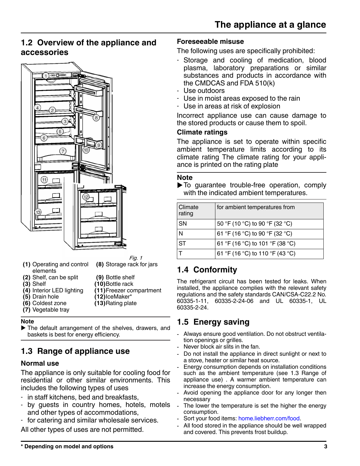# <span id="page-2-0"></span>**1.2 Overview of the appliance and accessories**



Fig. 1 **(8)** Storage rack for jars

- **(1)** Operating and control elements
- **(2)** Shelf, can be split **(9)** Bottle shelf
- **(3)** Shelf **(10)**Bottle rack
- **(4)** Interior LED lighting **(11)**Freezer compartment
- 
- **(5)** Drain hole **(12)**IceMaker\*
- **(6)** Coldest zone **(13)**Rating plate
- **(7)** Vegetable tray

### **Note**

 $\blacktriangleright$  The default arrangement of the shelves, drawers, and baskets is best for energy efficiency.

# **1.3 Range of appliance use**

### **Normal use**

The appliance is only suitable for cooling food for residential or other similar environments. This includes the following types of uses

- in staff kitchens, bed and breakfasts,
- by guests in country homes, hotels, motels and other types of accommodations,
- for catering and similar wholesale services.

All other types of uses are not permitted.

### **Foreseeable misuse**

The following uses are specifically prohibited:

- Storage and cooling of medication, blood plasma, laboratory preparations or similar substances and products in accordance with the CMDCAS and FDA 510(k)
- Use outdoors
- Use in moist areas exposed to the rain
- Use in areas at risk of explosion

Incorrect appliance use can cause damage to the stored products or cause them to spoil.

### **Climate ratings**

The appliance is set to operate within specific ambient temperature limits according to its climate rating The climate rating for your appliance is printed on the rating plate

#### **Note**

 $\blacktriangleright$  To guarantee trouble-free operation, comply with the indicated ambient temperatures.

| Climate<br>rating | for ambient temperatures from   |
|-------------------|---------------------------------|
| SN                | 50 °F (10 °C) to 90 °F (32 °C)  |
| l N               | 61 °F (16 °C) to 90 °F (32 °C)  |
| <b>ST</b>         | 61 °F (16 °C) to 101 °F (38 °C) |
|                   | 61 °F (16 °C) to 110 °F (43 °C) |

# **1.4 Conformity**

The refrigerant circuit has been tested for leaks. When installed, the appliance complies with the relevant safety regulations and the safety standards CAN/CSA-C22.2 No. 60335-1-11, 60335-2-24-06 and UL 60335-1, UL 60335-2-24.

# **1.5 Energy saving**

- Always ensure good ventilation. Do not obstruct ventilation openings or grilles.
- Never block air slits in the fan.
- Do not install the appliance in direct sunlight or next to a stove, heater or similar heat source.
- Energy consumption depends on installation conditions such as the ambient temperature (see 1.3 Range of appliance use) . A warmer ambient temperature can increase the energy consumption.
- Avoid opening the appliance door for any longer then necessary
- The lower the temperature is set the higher the energy consumption.
- Sort your food items: [home.liebherr.com/food.](https://home.liebherr.com/food)
- All food stored in the appliance should be well wrapped and covered. This prevents frost buildup.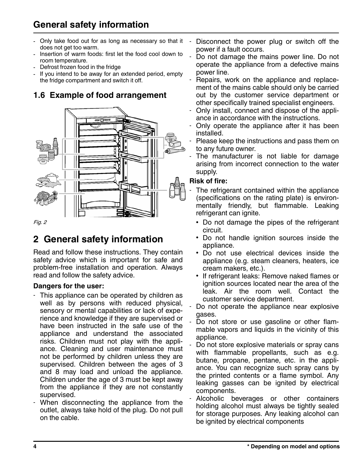# **General safety information**

- Only take food out for as long as necessary so that it does not get too warm.
- Insertion of warm foods: first let the food cool down to room temperature.
- Defrost frozen food in the fridge
- If you intend to be away for an extended period, empty the fridge compartment and switch it off.

# **1.6 Example of food arrangement**



Fig. 2

# **2 General safety information**

Read and follow these instructions. They contain safety advice which is important for safe and problem-free installation and operation. Always read and follow the safety advice.

#### **Dangers for the user:**

- This appliance can be operated by children as well as by persons with reduced physical, sensory or mental capabilities or lack of experience and knowledge if they are supervised or have been instructed in the safe use of the appliance and understand the associated risks. Children must not play with the appliance. Cleaning and user maintenance must not be performed by children unless they are supervised. Children between the ages of 3 and 8 may load and unload the appliance. Children under the age of 3 must be kept away from the appliance if they are not constantly supervised.
- When disconnecting the appliance from the outlet, always take hold of the plug. Do not pull on the cable.
- Disconnect the power plug or switch off the power if a fault occurs.
- Do not damage the mains power line. Do not operate the appliance from a defective mains power line.
- Repairs, work on the appliance and replacement of the mains cable should only be carried out by the customer service department or other specifically trained specialist engineers.
- Only install, connect and dispose of the appliance in accordance with the instructions.
- Only operate the appliance after it has been installed.
- Please keep the instructions and pass them on to any future owner.
- The manufacturer is not liable for damage arising from incorrect connection to the water supply.

#### **Risk of fire:**

- The refrigerant contained within the appliance (specifications on the rating plate) is environmentally friendly, but flammable. Leaking refrigerant can ignite.
	- Do not damage the pipes of the refrigerant circuit.
	- Do not handle ignition sources inside the appliance.
	- Do not use electrical devices inside the appliance (e.g. steam cleaners, heaters, ice cream makers, etc.).
	- If refrigerant leaks: Remove naked flames or ignition sources located near the area of the leak. Air the room well. Contact the customer service department.
- Do not operate the appliance near explosive gases.
- Do not store or use gasoline or other flammable vapors and liquids in the vicinity of this appliance.
- Do not store explosive materials or spray cans with flammable propellants, such as e.g. butane, propane, pentane, etc. in the appliance. You can recognize such spray cans by the printed contents or a flame symbol. Any leaking gasses can be ignited by electrical components.
- Alcoholic beverages or other containers holding alcohol must always be tightly sealed for storage purposes. Any leaking alcohol can be ignited by electrical components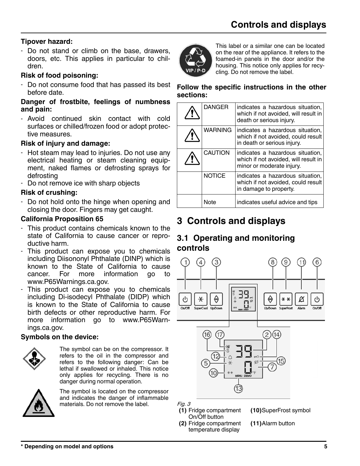## **Tipover hazard:**

- Do not stand or climb on the base, drawers, doors, etc. This applies in particular to children.

### **Risk of food poisoning:**

- Do not consume food that has passed its best before date.

#### **Danger of frostbite, feelings of numbness and pain:**

- Avoid continued skin contact with cold surfaces or chilled/frozen food or adopt protective measures.

### **Risk of injury and damage:**

- Hot steam may lead to injuries. Do not use any electrical heating or steam cleaning equipment, naked flames or defrosting sprays for defrosting
- Do not remove ice with sharp objects

## **Risk of crushing:**

- Do not hold onto the hinge when opening and closing the door. Fingers may get caught.

### **California Proposition 65**

- This product contains chemicals known to the state of California to cause cancer or reproductive harm.
- This product can expose you to chemicals including Diisononyl Phthalate (DINP) which is known to the State of California to cause cancer. For more information go to www.P65Warnings.ca.gov.
- This product can expose you to chemicals including Di-isodecyl Phthalate (DIDP) which is known to the State of California to cause birth defects or other reproductive harm. For more information go to www.P65Warnings.ca.gov.

### **Symbols on the device:**



The symbol can be on the compressor. It refers to the oil in the compressor and refers to the following danger: Can be lethal if swallowed or inhaled. This notice only applies for recycling. There is no danger during normal operation.



The symbol is located on the compressor and indicates the danger of inflammable materials. Do not remove the label.



This label or a similar one can be located on the rear of the appliance. It refers to the foamed-in panels in the door and/or the housing. This notice only applies for recycling. Do not remove the label.

#### **Follow the specific instructions in the other sections:**

| <b>DANGER</b>  | indicates a hazardous situation,<br>which if not avoided, will result in<br>death or serious injury.  |
|----------------|-------------------------------------------------------------------------------------------------------|
| <b>WARNING</b> | indicates a hazardous situation,<br>which if not avoided, could result<br>in death or serious injury. |
| <b>CAUTION</b> | indicates a hazardous situation,<br>which if not avoided, will result in<br>minor or moderate injury. |
| <b>NOTICE</b>  | indicates a hazardous situation,<br>which if not avoided, could result<br>in damage to property.      |
| Note           | indicates useful advice and tips                                                                      |

# **3 Controls and displays**

# **3.1 Operating and monitoring controls**



#### Fig. 3

- **(1)** Fridge compartment On/Off button
- **(10)**SuperFrost symbol
- **(2)** Fridge compartment temperature display
- **(11)**Alarm button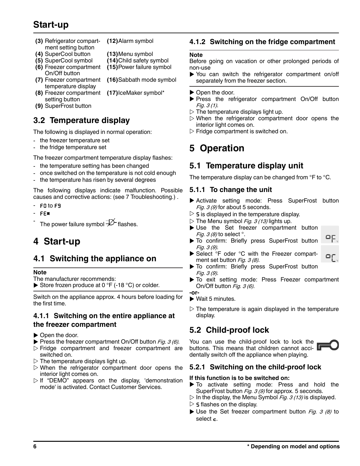# <span id="page-5-0"></span>**Start-up**

- **(3)** Refrigerator compartment setting button **(12)**Alarm symbol
- **(4)** SuperCool button **(13)**Menu symbol
- **(5)** SuperCool symbol **(14)**Child safety symbol **(6)** Freezer compartment
- On/Off button
- **(7)** Freezer compartment temperature display
- **(8)** Freezer compartment **(17)**IceMaker symbol\* setting button
- **(9)** SuperFrost button

# **3.2 Temperature display**

The following is displayed in normal operation:

- the freezer temperature set
- the fridge temperature set

The freezer compartment temperature display flashes:

**(15)**Power failure symbol

**(16)**Sabbath mode symbol

- the temperature setting has been changed
- once switched on the temperature is not cold enough
- the temperature has risen by several degrees

The following displays indicate malfunction. Possible causes and corrective actions: [\(see 7 Troubleshooting.\)](#page-14-0) .

- F<sub>0</sub> to F<sub>9</sub>
- FE\*
- The power failure symbol  $\overrightarrow{P}$  flashes.

# **4 Start-up**

### **4.1 Switching the appliance on**

#### **Note**

- The manufacturer recommends:
- Store frozen produce at 0  $\degree$ F (-18  $\degree$ C) or colder.

Switch on the appliance approx. 4 hours before loading for the first time.

#### **4.1.1 Switching on the entire appliance at the freezer compartment**

- $\triangleright$  Open the door.
- $\blacktriangleright$  Press the freezer compartment On/Off button Fig. 3 (6).
- $\triangleright$  Fridge compartment and freezer compartment are switched on.
- $\triangleright$  The temperature displays light up.
- $\triangleright$  When the refrigerator compartment door opens the interior light comes on.
- $\triangleright$  If "DEMO" appears on the display, 'demonstration mode' is activated. Contact Customer Services.

#### **4.1.2 Switching on the fridge compartment**

#### **Note**

Before going on vacation or other prolonged periods of non-use

- $\triangleright$  You can switch the refrigerator compartment on/off separately from the freezer section.
- $\triangleright$  Open the door.
- $\blacktriangleright$  Press the refrigerator compartment On/Off button Fig. 3 (1).
- $\triangleright$  The temperature displays light up.
- $\triangleright$  When the refrigerator compartment door opens the interior light comes on.
- $\triangleright$  Fridge compartment is switched on.

# **5 Operation**

### **5.1 Temperature display unit**

The temperature display can be changed from °F to °C.

#### **5.1.1 To change the unit**

- ▶ Activate setting mode: Press SuperFrost button Fig.  $3$  (9) for about 5 seconds.
- $\triangleright$  5 is displayed in the temperature display.
- $\triangleright$  The Menu symbol *Fig. 3 (13)* lights up.
- $\blacktriangleright$  Use the Set freezer compartment button *Fig. 3 (8)* to select  $\degree$ .
- $\blacktriangleright$  To confirm: Briefly press SuperFrost button Fig. 3 (9).
- ▶ Select °F oder °C with the Freezer compartment set button Fig. 3 (8).
	- To confirm: Briefly press SuperFrost button Fig. 3 (9).
- To exit setting mode: Press Freezer compartment On/Off button Fig. 3 (6).

**-or-**

- $\blacktriangleright$  Wait 5 minutes.
- $\triangleright$  The temperature is again displayed in the temperature display.

# **5.2 Child-proof lock**

You can use the child-proof lock to lock the buttons. This means that children cannot accidentally switch off the appliance when playing.

#### **5.2.1 Switching on the child-proof lock**

#### **If this function is to be switched on:**

- To activate setting mode: Press and hold the SuperFrost button *Fig. 3 (9)* for approx. 5 seconds.
- $\triangleright$  In the display, the Menu Symbol *Fig. 3 (13)* is displayed.
- $\triangleright$  5 flashes on the display.
- $\blacktriangleright$  Use the Set freezer compartment button Fig. 3 (8) to select  $\epsilon$ .

٥Ε.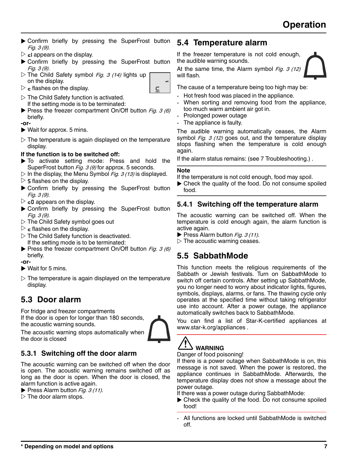- $\blacktriangleright$  Confirm briefly by pressing the SuperFrost button Fig. 3 (9).
- $\triangleright$   $\mathsf{cl}$  appears on the display.
- ▶ Confirm briefly by pressing the SuperFrost button Fig. 3 (9).
- $\triangleright$  The Child Safety symbol Fig. 3 (14) lights up on the display.
- $\triangleright$  c flashes on the display.
- c
- $\triangleright$  The Child Safety function is activated. If the setting mode is to be terminated:
- $\blacktriangleright$  Press the freezer compartment On/Off button Fig. 3 (6) briefly.

**-or-**

- $\blacktriangleright$  Wait for approx. 5 mins.
- $\triangleright$  The temperature is again displayed on the temperature display.

#### **If the function is to be switched off:**

- $\triangleright$  To activate setting mode: Press and hold the SuperFrost button *Fig. 3 (9)* for approx. 5 seconds.
- $\triangleright$  In the display, the Menu Symbol *Fig. 3 (13)* is displayed.  $\triangleright$  5 flashes on the display.
- $\blacktriangleright$  Confirm briefly by pressing the SuperFrost button Fig. 3 (9).
- $\triangleright$   $\epsilon$ 0 appears on the display.
- $\blacktriangleright$  Confirm briefly by pressing the SuperFrost button Fig. 3 (9).
- $\triangleright$  The Child Safety symbol goes out
- $\triangleright$   $\mathsf{\epsilon}$  flashes on the display.
- $\triangleright$  The Child Safety function is deactivated. If the setting mode is to be terminated:
- Press the freezer compartment On/Off button Fig. 3 (6) briefly.

**-or-**

- $\blacktriangleright$  Wait for 5 mins.
- $\triangleright$  The temperature is again displayed on the temperature display.

# **5.3 Door alarm**

For fridge and freezer compartments If the door is open for longer than 180 seconds, the acoustic warning sounds.



The acoustic warning stops automatically when the door is closed

### **5.3.1 Switching off the door alarm**

The acoustic warning can be switched off when the door is open. The acoustic warning remains switched off as long as the door is open. When the door is closed, the alarm function is active again.

- $\blacktriangleright$  Press Alarm button Fig. 3 (11).
- $\triangleright$  The door alarm stops.

# **5.4 Temperature alarm**

If the freezer temperature is not cold enough, the audible warning sounds.

At the same time, the Alarm symbol  $Fig. 3 (12)$ will flash.

The cause of a temperature being too high may be:

- Hot fresh food was placed in the appliance.
- When sorting and removing food from the appliance, too much warm ambient air got in.
- Prolonged power outage
- The appliance is faulty.

The audible warning automatically ceases, the Alarm symbol  $Fig. 3 (12)$  goes out, and the temperature display stops flashing when the temperature is cold enough again.

If the alarm status remains: [\(see 7 Troubleshooting.\)](#page-14-0) .

#### **Note**

If the temperature is not cold enough, food may spoil.

 $\blacktriangleright$  Check the quality of the food. Do not consume spoiled food.

### **5.4.1 Switching off the temperature alarm**

The acoustic warning can be switched off. When the temperature is cold enough again, the alarm function is active again.

 $\blacktriangleright$  Press Alarm button Fig. 3 (11).

 $\triangleright$  The acoustic warning ceases.

# **5.5 SabbathMode**

This function meets the religious requirements of the Sabbath or Jewish festivals. Turn on SabbathMode to switch off certain controls. After setting up SabbathMode, you no longer need to worry about indicator lights, figures, symbols, displays, alarms, or fans. The thawing cycle only operates at the specified time without taking refrigerator use into account. After a power outage, the appliance automatically switches back to SabbathMode.

You can find a list of Star-K-certified appliances at www.star-k.org/appliances .

### î **WARNING**

Danger of food poisoning!

If there is a power outage when SabbathMode is on, this message is not saved. When the power is restored, the appliance continues in SabbathMode. Afterwards, the temperature display does not show a message about the power outage.

If there was a power outage during SabbathMode:

- $\blacktriangleright$  Check the quality of the food. Do not consume spoiled food!
- All functions are locked until SabbathMode is switched off.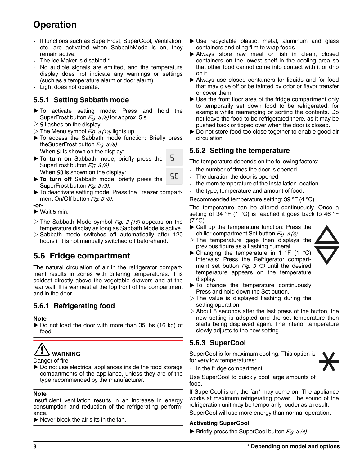# **Operation**

- If functions such as SuperFrost, SuperCool, Ventilation, etc. are activated when SabbathMode is on, they remain active.
- The Ice Maker is disabled.\*
- No audible signals are emitted, and the temperature display does not indicate any warnings or settings (such as a temperature alarm or door alarm).
- Light does not operate.

#### **5.5.1 Setting Sabbath mode**

- $\blacktriangleright$  To activate setting mode: Press and hold the SuperFrost button *Fig. 3 (9)* for approx. 5 s.
- $\triangleright$  5 flashes on the display.
- $\triangleright$  The Menu symbol *Fig. 3 (13)* lights up.
- $\blacktriangleright$  To access the Sabbath mode function: Briefly press theSuperFrost button Fig. 3 (9). When **SI** is shown on the display:
- 51  $\triangleright$  To turn on Sabbath mode, briefly press the SuperFrost button Fig. 3 (9).

When **S0** is shown on the display:

- 50  $\triangleright$  To turn off Sabbath mode, briefly press the SuperFrost button *Fig. 3 (9)*.
- $\blacktriangleright$  To deactivate setting mode: Press the Freezer compartment On/Off button Fig. 3 (6).

**-or-**

- $\blacktriangleright$  Wait 5 min.
- $\triangleright$  The Sabbath Mode symbol *Fig. 3 (16)* appears on the temperature display as long as Sabbath Mode is active.
- $\triangleright$  Sabbath mode switches off automatically after 120 hours if it is not manually switched off beforehand.

### **5.6 Fridge compartment**

The natural circulation of air in the refrigerator compartment results in zones with differing temperatures. It is coldest directly above the vegetable drawers and at the rear wall. It is warmest at the top front of the compartment and in the door.

### **5.6.1 Refrigerating food**

**Note**

 $\triangleright$  Do not load the door with more than 35 lbs (16 kg) of food.



Danger of fire

 $\triangleright$  Do not use electrical appliances inside the food storage compartments of the appliance, unless they are of the type recommended by the manufacturer.

#### **Note**

Insufficient ventilation results in an increase in energy consumption and reduction of the refrigerating performance.

 $\blacktriangleright$  Never block the air slits in the fan.

- $\blacktriangleright$  Use recyclable plastic, metal, aluminum and glass containers and cling film to wrap foods
- $\blacktriangleright$  Always store raw meat or fish in clean, closed containers on the lowest shelf in the cooling area so that other food cannot come into contact with it or drip on it.
- $\blacktriangleright$  Always use closed containers for liquids and for food that may give off or be tainted by odor or flavor transfer or cover them
- $\triangleright$  Use the front floor area of the fridge compartment only to temporarily set down food to be refrigerated, for example while rearranging or sorting the contents. Do not leave the food to be refrigerated there, as it may be pushed back or tipped over when the door is closed.
- $\triangleright$  Do not store food too close together to enable good air circulation

#### **5.6.2 Setting the temperature**

The temperature depends on the following factors:

- the number of times the door is opened
- The duration the door is opened
- the room temperature of the installation location
- the type, temperature and amount of food.

Recommended temperature setting: 39 °F (4 °C)

The temperature can be altered continuously. Once a setting of 34  $\degree$ F (1  $\degree$ C) is reached it goes back to 46  $\degree$ F  $(7 °C)$ .

- $\blacktriangleright$  Call up the temperature function: Press the chiller compartment Set button Fig. 3 (3).
- $\triangleright$  The temperature gage then displays the previous figure as a flashing numeral.



- $\blacktriangleright$  Changing the temperature in 1 °F (1 °C) intervals: Press the Refrigerator compartment set button  $Fig. 3 (3)$  until the desired temperature appears on the temperature display.
- $\blacktriangleright$  To change the temperature continuously Press and hold down the Set button.
- $\triangleright$  The value is displayed flashing during the setting operation
- $\triangleright$  About 5 seconds after the last press of the button, the new setting is adopted and the set temperature then starts being displayed again. The interior temperature slowly adjusts to the new setting.

### **5.6.3 SuperCool**

SuperCool is for maximum cooling. This option is for very low temperatures:



- In the fridge compartment

Use SuperCool to quickly cool large amounts of food.

If SuperCool is on, the fan\* may come on. The appliance works at maximum refrigerating power. The sound of the refrigeration unit may be temporarily louder as a result.

SuperCool will use more energy than normal operation.

#### **Activating SuperCool**

 $\blacktriangleright$  Briefly press the SuperCool button *Fig. 3 (4)*.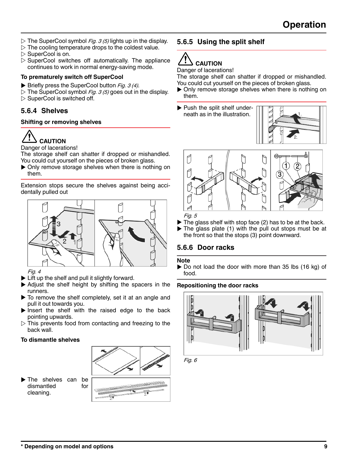- $\triangleright$  The SuperCool symbol *Fig. 3 (5)* lights up in the display.
- $\triangleright$  The cooling temperature drops to the coldest value.
- $\triangleright$  SuperCool is on.
- $\triangleright$  SuperCool switches off automatically. The appliance continues to work in normal energy-saving mode.

#### **To prematurely switch off SuperCool**

- $\blacktriangleright$  Briefly press the SuperCool button *Fig. 3 (4)*.
- $\triangleright$  The SuperCool symbol *Fig. 3 (5)* goes out in the display.  $\triangleright$  SuperCool is switched off.

### **5.6.4 Shelves**

#### **Shifting or removing shelves**



Danger of lacerations!

The storage shelf can shatter if dropped or mishandled. You could cut yourself on the pieces of broken glass.

 $\triangleright$  Only remove storage shelves when there is nothing on them.

Extension stops secure the shelves against being accidentally pulled out



Fig. 4

- $\blacktriangleright$  Lift up the shelf and pull it slightly forward.
- $\blacktriangleright$  Adjust the shelf height by shifting the spacers in the runners.
- $\blacktriangleright$  To remove the shelf completely, set it at an angle and pull it out towards you.
- $\blacktriangleright$  Insert the shelf with the raised edge to the back pointing upwards.
- $\triangleright$  This prevents food from contacting and freezing to the back wall.

#### **To dismantle shelves**



 $\blacktriangleright$  The shelves can be dismantled for cleaning.



# Ţ **CAUTION**

Danger of lacerations!

The storage shelf can shatter if dropped or mishandled. You could cut yourself on the pieces of broken glass.

- $\triangleright$  Only remove storage shelves when there is nothing on them.
- $\blacktriangleright$  Push the split shelf underneath as in the illustration.





Fig. 5

- $\blacktriangleright$  The glass shelf with stop face (2) has to be at the back.
- $\blacktriangleright$  The glass plate (1) with the pull out stops must be at the front so that the stops (3) point downward.

### **5.6.6 Door racks**

#### **Note**

 $\triangleright$  Do not load the door with more than 35 lbs (16 kg) of food.

#### **Repositioning the door racks**



Fig. 6

**\* Depending on model and options 9**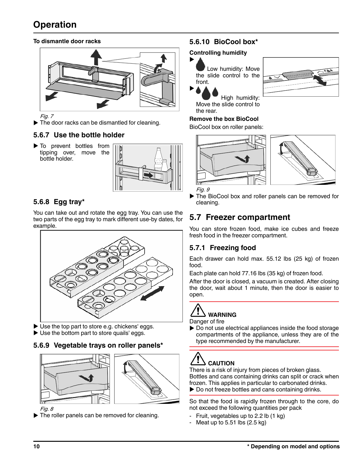# **Operation**

#### **To dismantle door racks**



Fig. 7

 $\blacktriangleright$  The door racks can be dismantled for cleaning.

### **5.6.7 Use the bottle holder**

 $\blacktriangleright$  To prevent bottles from tipping over, move the bottle holder.



### **5.6.8 Egg tray\***

You can take out and rotate the egg tray. You can use the two parts of the egg tray to mark different use-by dates, for example.



 $\blacktriangleright$  Use the top part to store e.g. chickens' eggs.  $\blacktriangleright$  Use the bottom part to store quails' eggs.

#### **5.6.9 Vegetable trays on roller panels\***



Fig. 8

 $\blacktriangleright$  The roller panels can be removed for cleaning.

### **5.6.10 BioCool box\***

#### **Controlling humidity**



 Low humidity: Move the slide control to the front.



 High humidity: Move the slide control to the rear.

#### **Remove the box BioCool**

BioCool box on roller panels:



Fig. 9

The BioCool box and roller panels can be removed for cleaning.

# **5.7 Freezer compartment**

You can store frozen food, make ice cubes and freeze fresh food in the freezer compartment.

### **5.7.1 Freezing food**

Each drawer can hold max. 55.12 lbs (25 kg) of frozen food.

Each plate can hold 77.16 lbs (35 kg) of frozen food.

After the door is closed, a vacuum is created. After closing the door, wait about 1 minute, then the door is easier to open.

# **WARNING**

Danger of fire

 $\triangleright$  Do not use electrical appliances inside the food storage compartments of the appliance, unless they are of the type recommended by the manufacturer.

# **CAUTION**

There is a risk of injury from pieces of broken glass. Bottles and cans containing drinks can split or crack when frozen. This applies in particular to carbonated drinks.  $\triangleright$  Do not freeze bottles and cans containing drinks.

So that the food is rapidly frozen through to the core, do not exceed the following quantities per pack

- Fruit, vegetables up to 2.2 lb (1 kg)
- Meat up to  $5.51$  lbs  $(2.5 \text{ kg})$

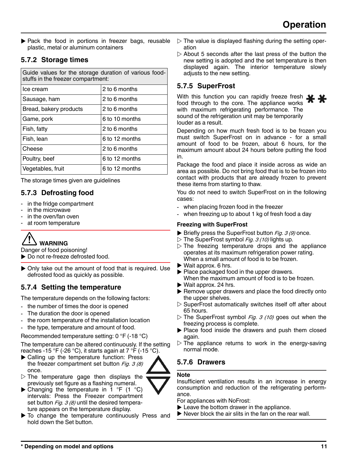<span id="page-10-0"></span> $\blacktriangleright$  Pack the food in portions in freezer bags, reusable plastic, metal or aluminum containers

## **5.7.2 Storage times**

| Guide values for the storage duration of various food-<br>stuffs in the freezer compartment: |                |  |
|----------------------------------------------------------------------------------------------|----------------|--|
| Ice cream                                                                                    | 2 to 6 months  |  |
| Sausage, ham                                                                                 | 2 to 6 months  |  |
| Bread, bakery products                                                                       | 2 to 6 months  |  |
| Game, pork                                                                                   | 6 to 10 months |  |
| Fish, fatty                                                                                  | 2 to 6 months  |  |
| Fish, lean                                                                                   | 6 to 12 months |  |
| Cheese                                                                                       | 2 to 6 months  |  |
| Poultry, beef                                                                                | 6 to 12 months |  |
| Vegetables, fruit                                                                            | 6 to 12 months |  |

The storage times given are guidelines

# **5.7.3 Defrosting food**

- in the fridge compartment
- in the microwave
- in the oven/fan oven
- at room temperature



Danger of food poisoning!

- ▶ Do not re-freeze defrosted food.
- $\triangleright$  Only take out the amount of food that is required. Use defrosted food as quickly as possible.

# **5.7.4 Setting the temperature**

The temperature depends on the following factors:

- the number of times the door is opened
- The duration the door is opened
- the room temperature of the installation location
- the type, temperature and amount of food.

Recommended temperature setting: 0 °F (-18 °C)

The temperature can be altered continuously. If the setting reaches -15 °F (-26 °C), it starts again at 7 °F (-15 °C).

- $\blacktriangleright$  Calling up the temperature function: Press the freezer compartment set button  $Fig. 3 (8)$ once.
- $\triangleright$  The temperature gage then displays the previously set figure as a flashing numeral.



 $\blacktriangleright$  To change the temperature continuously Press and hold down the Set button.

- $\triangleright$  The value is displayed flashing during the setting operation
- $\triangleright$  About 5 seconds after the last press of the button the new setting is adopted and the set temperature is then displayed again. The interior temperature slowly adjusts to the new setting.

# **5.7.5 SuperFrost**

With this function you can rapidly freeze fresh food through to the core. The appliance works with maximum refrigerating performance. The sound of the refrigeration unit may be temporarily louder as a result.

Depending on how much fresh food is to be frozen you must switch SuperFrost on in advance - for a small amount of food to be frozen, about 6 hours, for the maximum amount about 24 hours before putting the food in.

Package the food and place it inside across as wide an area as possible. Do not bring food that is to be frozen into contact with products that are already frozen to prevent these items from starting to thaw.

You do not need to switch SuperFrost on in the following cases:

- when placing frozen food in the freezer
- when freezing up to about 1 kg of fresh food a day

#### **Freezing with SuperFrost**

- $\blacktriangleright$  Briefly press the SuperFrost button Fig. 3 (9) once.
- $\triangleright$  The SuperFrost symbol Fig. 3 (10) lights up.
- $\triangleright$  The freezing temperature drops and the appliance operates at its maximum refrigeration power rating. When a small amount of food is to be frozen.
- $\blacktriangleright$  Wait approx. 6 hrs.
- $\blacktriangleright$  Place packaged food in the upper drawers. When the maximum amount of food is to be frozen.
- $\blacktriangleright$  Wait approx. 24 hrs.
- $\blacktriangleright$  Remove upper drawers and place the food directly onto the upper shelves.
- $\triangleright$  SuperFrost automatically switches itself off after about 65 hours.
- $\triangleright$  The SuperFrost symbol Fig. 3 (10) goes out when the freezing process is complete.
- $\blacktriangleright$  Place food inside the drawers and push them closed again.
- $\triangleright$  The appliance returns to work in the energy-saving normal mode.

# **5.7.6 Drawers**

### **Note**

Insufficient ventilation results in an increase in energy consumption and reduction of the refrigerating performance.

For appliances with NoFrost:

- $\blacktriangleright$  Leave the bottom drawer in the appliance.
- $\blacktriangleright$  Never block the air slits in the fan on the rear wall.

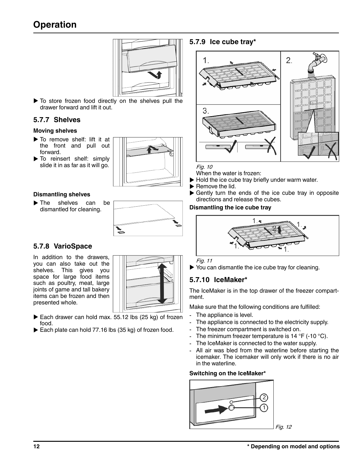# <span id="page-11-0"></span>**Operation**



 $\blacktriangleright$  To store frozen food directly on the shelves pull the drawer forward and lift it out.

### **5.7.7 Shelves**

#### **Moving shelves**

- $\blacktriangleright$  To remove shelf: lift it at the front and pull out forward.
- $\blacktriangleright$  To reinsert shelf: simply slide it in as far as it will go.



#### **Dismantling shelves**

 $\blacktriangleright$  The shelves can be dismantled for cleaning.



#### **5.7.8 VarioSpace**

In addition to the drawers, you can also take out the shelves. This gives you space for large food items such as poultry, meat, large joints of game and tall bakery items can be frozen and then presented whole.



- Each drawer can hold max. 55.12 lbs  $(25 kg)$  of frozen food.
- Each plate can hold 77.16 lbs (35 kg) of frozen food.

#### **5.7.9 Ice cube tray\***



#### Fig. 10

When the water is frozen:

- $\blacktriangleright$  Hold the ice cube tray briefly under warm water.
- $\blacktriangleright$  Remove the lid.
- $\blacktriangleright$  Gently turn the ends of the ice cube tray in opposite directions and release the cubes.

#### **Dismantling the ice cube tray**



Fig. 11

 $\blacktriangleright$  You can dismantle the ice cube tray for cleaning.

### **5.7.10 IceMaker\***

The IceMaker is in the top drawer of the freezer compartment.

Make sure that the following conditions are fulfilled:

- The appliance is level.
- The appliance is connected to the electricity supply.
- The freezer compartment is switched on.
- The minimum freezer temperature is 14 °F (-10 °C).
- The IceMaker is connected to the water supply.
- All air was bled from the waterline before starting the icemaker. The icemaker will only work if there is no air in the waterline.

#### **Switching on the IceMaker\***

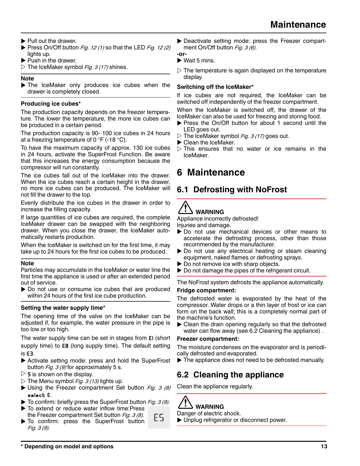- <span id="page-12-0"></span> $\blacktriangleright$  Pull out the drawer.
- Press On/Off button Fig. 12 (1) so that the LED Fig. 12 (2) lights up.
- $\blacktriangleright$  Push in the drawer.
- $\triangleright$  The IceMaker symbol Fig. 3 (17) shines.

#### **Note**

 $\blacktriangleright$  The IceMaker only produces ice cubes when the drawer is completely closed.

#### **Producing ice cubes\***

The production capacity depends on the freezer temperature. The lower the temperature, the more ice cubes can be produced in a certain period.

The production capacity is 90- 100 ice cubes in 24 hours at a freezing temperature of 0  $\degree$ F (-18  $\degree$ C).

To have the maximum capacity of approx. 130 ice cubes in 24 hours, activate the SuperFrost Function. Be aware that this increases the energy consumption because the compressor will run constantly.

The ice cubes fall out of the IceMaker into the drawer. When the ice cubes reach a certain height in the drawer, no more ice cubes can be produced. The IceMaker will not fill the drawer to the top.

Evenly distribute the ice cubes in the drawer in order to increase the filling capacity.

If large quantities of ice cubes are required, the complete IceMaker drawer can be swapped with the neighboring drawer. When you close the drawer, the IceMaker automatically restarts production.

When the IceMaker is switched on for the first time, it may take up to 24 hours for the first ice cubes to be produced.

#### **Note**

Particles may accumulate in the IceMaker or water line the first time the appliance is used or after an extended period out of service.

 $\triangleright$  Do not use or consume ice cubes that are produced within 24 hours of the first ice cube production.

#### **Setting the water supply time\***

The opening time of the valve on the IceMaker can be adjusted if, for example, the water pressure in the pipe is too low or too high.

The water supply time can be set in stages from E1 (short supply time) to **EB** (long supply time). The default setting is E3.

- $\triangleright$  Activate setting mode: press and hold the SuperFrost button  $Fig. 3 (9)$  for approximately 5 s.
- $\triangleright$  5 is shown on the display.
- $\triangleright$  The Menu symbol Fig. 3 (13) lights up.
- $\blacktriangleright$  Using the Freezer compartment Set button Fig. 3 (8) select E.
- $\blacktriangleright$  To confirm: briefly press the SuperFrost button Fig. 3 (9).
- $\blacktriangleright$  To extend or reduce water inflow time: Press the Freezer compartment Set button  $Fig. 3 (8)$ .
- ES To confirm: press the SuperFrost button Fig. 3 (9).

Deactivate setting mode: press the Freezer compartment On/Off button Fig. 3 (6).

#### **-or-**

- $\blacktriangleright$  Wait 5 mins.
- $\triangleright$  The temperature is again displayed on the temperature display.

#### **Switching off the IceMaker\***

If ice cubes are not required, the IceMaker can be switched off independently of the freezer compartment.

When the IceMaker is switched off, the drawer of the IceMaker can also be used for freezing and storing food.

- Press the On/Off button for about 1 second until the LED goes out.
- $\triangleright$  The IceMaker symbol Fig. 3 (17) goes out.
- $\blacktriangleright$  Clean the IceMaker.
- $\triangleright$  This ensures that no water or ice remains in the IceMaker.

# **6 Maintenance**

# **6.1 Defrosting with NoFrost**

#### X. **WARNING**

Appliance incorrectly defrosted! Injuries and damage.

- $\triangleright$  Do not use mechanical devices or other means to accelerate the defrosting process, other than those recommended by the manufacturer.
- $\triangleright$  Do not use any electrical heating or steam cleaning equipment, naked flames or defrosting sprays.
- $\triangleright$  Do not remove ice with sharp objects.
- $\triangleright$  Do not damage the pipes of the refrigerant circuit.

The NoFrost system defrosts the appliance automatically.

#### **Fridge compartment:**

The defrosted water is evaporated by the heat of the compressor. Water drops or a thin layer of frost or ice can form on the back wall; this is a completely normal part of the machine's function.

 $\blacktriangleright$  Clean the drain opening regularly so that the defrosted water can flow away (see 6.2 Cleaning the appliance) .

#### **Freezer compartment:**

The moisture condenses on the evaporator and is periodically defrosted and evaporated.

 $\blacktriangleright$  The appliance does not need to be defrosted manually.

# **6.2 Cleaning the appliance**

Clean the appliance regularly.



Danger of electric shock.

 $\blacktriangleright$  Unplug refrigerator or disconnect power.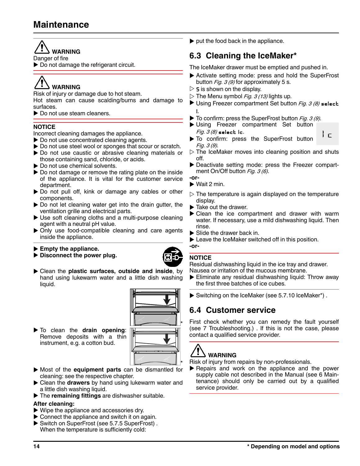# **Maintenance**

#### Ţ **WARNING**

Danger of fire

 $\blacktriangleright$  Do not damage the refrigerant circuit.

# **WARNING**

Risk of injury or damage due to hot steam.

Hot steam can cause scalding/burns and damage to surfaces.

 $\blacktriangleright$  Do not use steam cleaners.

#### **NOTICE**

Incorrect cleaning damages the appliance.

- $\triangleright$  Do not use concentrated cleaning agents.
- $\triangleright$  Do not use steel wool or sponges that scour or scratch.
- $\triangleright$  Do not use caustic or abrasive cleaning materials or those containing sand, chloride, or acids.
- $\blacktriangleright$  Do not use chemical solvents.
- $\triangleright$  Do not damage or remove the rating plate on the inside of the appliance. It is vital for the customer service department.
- $\triangleright$  Do not pull off, kink or damage any cables or other components.
- $\triangleright$  Do not let cleaning water get into the drain gutter, the ventilation grille and electrical parts.
- $\blacktriangleright$  Use soft cleaning cloths and a multi-purpose cleaning agent with a neutral pH value.
- $\triangleright$  Only use food-compatible cleaning and care agents inside the appliance.

Empty the appliance.

- Disconnect the power plug.
- 
- u Clean the **plastic surfaces, outside and inside**, by hand using lukewarm water and a little dish washing liquid.



- $\triangleright$  To clean the drain opening: Remove deposits with a thin instrument, e.g. a cotton bud.
- \* u Most of the **equipment parts** can be dismantled for cleaning: see the respective chapter.
- **Example 2** Clean the **drawers** by hand using lukewarm water and a little dish washing liquid.
- The **remaining fittings** are dishwasher suitable.

#### **After cleaning:**

- $\triangleright$  Wipe the appliance and accessories dry.
- $\triangleright$  Connect the appliance and switch it on again.
- ▶ Switch on SuperFrost (see 5.7.5 SuperFrost). When the temperature is sufficiently cold:

 $\blacktriangleright$  put the food back in the appliance.

# **6.3 Cleaning the IceMaker\***

The IceMaker drawer must be emptied and pushed in.

- $\blacktriangleright$  Activate setting mode: press and hold the SuperFrost button  $Fig. 3 (9)$  for approximately 5 s.
- $\triangleright$  5 is shown on the display.
- $\triangleright$  The Menu symbol *Fig. 3 (13)* lights up.
- Using Freezer compartment Set button Fig. 3 (8) select I.
- $\blacktriangleright$  To confirm: press the SuperFrost button Fig. 3 (9).
- Using Freezer compartment Set button  $Fig. 3 (8)$  select Ic. iε
- To confirm: press the SuperFrost button Fig. 3 (9).
- $\triangleright$  The IceMaker moves into cleaning position and shuts off.
- Deactivate setting mode: press the Freezer compartment On/Off button Fig. 3 (6).
- **-or-**
- $\blacktriangleright$  Wait 2 min.
- $\triangleright$  The temperature is again displayed on the temperature display.
- $\blacktriangleright$  Take out the drawer.
- $\blacktriangleright$  Clean the ice compartment and drawer with warm water. If necessary, use a mild dishwashing liquid. Then rinse.
- $\blacktriangleright$  Slide the drawer back in.
- $\blacktriangleright$  Leave the IceMaker switched off in this position.
- **-or-**

#### **NOTICE**

Residual dishwashing liquid in the ice tray and drawer. Nausea or irritation of the mucous membrane.

- $\blacktriangleright$  Eliminate any residual dishwashing liquid: Throw away the first three batches of ice cubes.
- $\triangleright$  Switching on the IceMaker (see 5.7.10 IceMaker\*).

# **6.4 Customer service**

First check whether you can remedy the fault yourself [\(see 7 Troubleshooting.\)](#page-14-0) . If this is not the case, please contact a qualified service provider.

# **WARNING**

Risk of injury from repairs by non-professionals.

 $\blacktriangleright$  Repairs and work on the appliance and the power supply cable not described in the Manual [\(see 6 Main](#page-12-0)[tenance\)](#page-12-0) should only be carried out by a qualified service provider.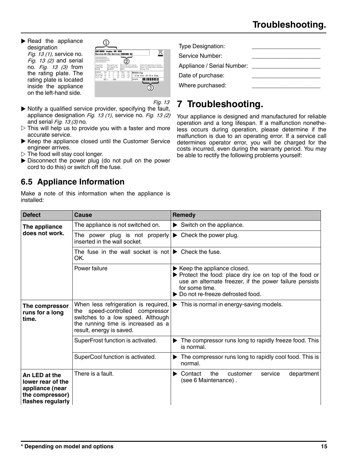<span id="page-14-0"></span> $\blacktriangleright$  Read the appliance designation

Fig. 13 (1), service no. Fig.  $13$  (2) and serial no. Fig. 13 (3) from the rating plate. The rating plate is located inside the appliance on the left-hand side.



Fig. 13

Type Designation: Service Number: Appliance / Serial Number: Date of purchase: Where purchased:

# **7 Troubleshooting.**

Your appliance is designed and manufactured for reliable operation and a long lifespan. If a malfunction nonetheless occurs during operation, please determine if the malfunction is due to an operating error. If a service call determines operator error, you will be charged for the costs incurred, even during the warranty period. You may be able to rectify the following problems yourself:

- $\triangleright$  Notify a qualified service provider, specifying the fault, appliance designation Fig. 13 (1), service no. Fig. 13 (2) and serial  $Fig. 13 (3)$  no.
- $\triangleright$  This will help us to provide you with a faster and more accurate service.
- $\blacktriangleright$  Keep the appliance closed until the Customer Service engineer arrives.
- $\triangleright$  The food will stay cool longer.
- $\triangleright$  Disconnect the power plug (do not pull on the power cord to do this) or switch off the fuse.

# **6.5 Appliance Information**

Make a note of this information when the appliance is installed:

| <b>Defect</b>                                                                                 | Cause                                                                                                                                                                          | Remedy                                                                                                                                                                                                                         |
|-----------------------------------------------------------------------------------------------|--------------------------------------------------------------------------------------------------------------------------------------------------------------------------------|--------------------------------------------------------------------------------------------------------------------------------------------------------------------------------------------------------------------------------|
| The appliance                                                                                 | The appliance is not switched on.                                                                                                                                              | $\blacktriangleright$ Switch on the appliance.                                                                                                                                                                                 |
| does not work.                                                                                | The power plug is not properly<br>inserted in the wall socket.                                                                                                                 | $\triangleright$ Check the power plug.                                                                                                                                                                                         |
|                                                                                               | The fuse in the wall socket is not $\blacktriangleright$ Check the fuse.<br>OK.                                                                                                |                                                                                                                                                                                                                                |
|                                                                                               | Power failure                                                                                                                                                                  | $\blacktriangleright$ Keep the appliance closed.<br>▶ Protect the food: place dry ice on top of the food or<br>use an alternate freezer, if the power failure persists<br>for some time.<br>▶ Do not re-freeze defrosted food. |
| The compressor<br>runs for a long<br>time.                                                    | When less refrigeration is required,<br>the speed-controlled compressor<br>switches to a low speed. Although<br>the running time is increased as a<br>result, energy is saved. | This is normal in energy-saving models.                                                                                                                                                                                        |
|                                                                                               | SuperFrost function is activated.                                                                                                                                              | The compressor runs long to rapidly freeze food. This<br>is normal.                                                                                                                                                            |
|                                                                                               | SuperCool function is activated.                                                                                                                                               | The compressor runs long to rapidly cool food. This is<br>normal.                                                                                                                                                              |
| An LED at the<br>lower rear of the<br>appliance (near<br>the compressor)<br>flashes regularly | There is a fault.                                                                                                                                                              | the<br>Contact<br>department<br>customer<br>service<br>(see 6 Maintenance).                                                                                                                                                    |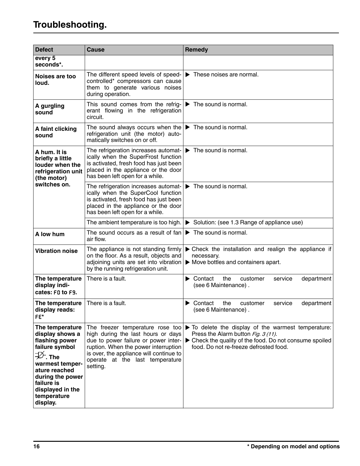| <b>Defect</b>                                                                                                                                                                                                                   | <b>Cause</b>                                                                                                                                                                                                                                     | Remedy                                                                                                                                                                                        |
|---------------------------------------------------------------------------------------------------------------------------------------------------------------------------------------------------------------------------------|--------------------------------------------------------------------------------------------------------------------------------------------------------------------------------------------------------------------------------------------------|-----------------------------------------------------------------------------------------------------------------------------------------------------------------------------------------------|
| every 5<br>seconds*.                                                                                                                                                                                                            |                                                                                                                                                                                                                                                  |                                                                                                                                                                                               |
| Noises are too<br>loud.                                                                                                                                                                                                         | The different speed levels of speed-<br>controlled* compressors can cause<br>them to generate various noises<br>during operation.                                                                                                                | $\blacktriangleright$ These noises are normal.                                                                                                                                                |
| A gurgling<br>sound                                                                                                                                                                                                             | This sound comes from the refrig-<br>erant flowing in the refrigeration<br>circuit.                                                                                                                                                              | $\blacktriangleright$ The sound is normal.                                                                                                                                                    |
| A faint clicking<br>sound                                                                                                                                                                                                       | The sound always occurs when the $\blacktriangleright$ The sound is normal.<br>refrigeration unit (the motor) auto-<br>matically switches on or off.                                                                                             |                                                                                                                                                                                               |
| A hum. It is<br>briefly a little<br>louder when the<br>refrigeration unit<br>(the motor)                                                                                                                                        | The refrigeration increases automat-<br>ically when the SuperFrost function<br>is activated, fresh food has just been<br>placed in the appliance or the door<br>has been left open for a while.                                                  | $\blacktriangleright$ The sound is normal.                                                                                                                                                    |
| switches on.                                                                                                                                                                                                                    | The refrigeration increases automat-<br>ically when the SuperCool function<br>is activated, fresh food has just been<br>placed in the appliance or the door<br>has been left open for a while.                                                   | $\blacktriangleright$ The sound is normal.                                                                                                                                                    |
|                                                                                                                                                                                                                                 | The ambient temperature is too high.                                                                                                                                                                                                             | Solution: (see 1.3 Range of appliance use)                                                                                                                                                    |
| A low hum                                                                                                                                                                                                                       | The sound occurs as a result of fan<br>air flow.                                                                                                                                                                                                 | $\blacktriangleright$ The sound is normal.                                                                                                                                                    |
| <b>Vibration noise</b>                                                                                                                                                                                                          | The appliance is not standing firmly<br>on the floor. As a result, objects and<br>adjoining units are set into vibration<br>by the running refrigeration unit.                                                                                   | $\triangleright$ Check the installation and realign the appliance if<br>necessary.<br>$\blacktriangleright$ Move bottles and containers apart.                                                |
| The temperature<br>display indi-<br>cates: F0 to F9.                                                                                                                                                                            | There is a fault.                                                                                                                                                                                                                                | the<br>$\blacktriangleright$ Contact<br>service<br>department<br>customer<br>(see 6 Maintenance).                                                                                             |
| The temperature<br>display reads:<br>FE*                                                                                                                                                                                        | There is a fault.                                                                                                                                                                                                                                | Contact<br>the<br>customer<br>service<br>department<br>(see 6 Maintenance).                                                                                                                   |
| The temperature<br>display shows a<br>flashing power<br>failure symbol<br>$\mathcal{D}_{\mathsf{r}}$ . The<br>warmest temper-<br>ature reached<br>during the power<br>failure is<br>displayed in the<br>temperature<br>display. | The freezer temperature rose too<br>high during the last hours or days<br>due to power failure or power inter-<br>ruption. When the power interruption<br>is over, the appliance will continue to<br>operate at the last temperature<br>setting. | To delete the display of the warmest temperature:<br>Press the Alarm button Fig. 3 (11).<br>▶ Check the quality of the food. Do not consume spoiled<br>food. Do not re-freeze defrosted food. |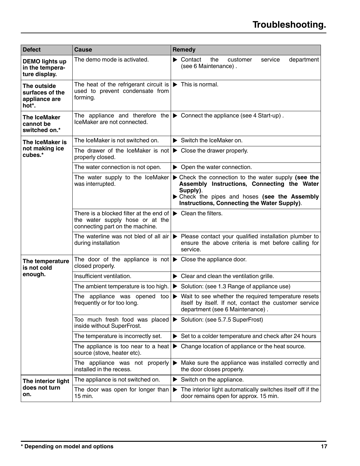| <b>Defect</b>                                             | Cause                                                                                                                       | <b>Remedy</b>                                                                                                                                                                                                  |
|-----------------------------------------------------------|-----------------------------------------------------------------------------------------------------------------------------|----------------------------------------------------------------------------------------------------------------------------------------------------------------------------------------------------------------|
| <b>DEMO lights up</b><br>in the tempera-<br>ture display. | The demo mode is activated.                                                                                                 | $\blacktriangleright$ Contact<br>the<br>service<br>department<br>customer<br>(see 6 Maintenance).                                                                                                              |
| The outside<br>surfaces of the<br>appliance are<br>hot*.  | The heat of the refrigerant circuit is $\blacktriangleright$ This is normal.<br>used to prevent condensate from<br>forming. |                                                                                                                                                                                                                |
| <b>The IceMaker</b><br>cannot be<br>switched on.*         | IceMaker are not connected.                                                                                                 | The appliance and therefore the $\blacktriangleright$ Connect the appliance (see 4 Start-up).                                                                                                                  |
| The IceMaker is                                           | The IceMaker is not switched on.                                                                                            | $\triangleright$ Switch the IceMaker on.                                                                                                                                                                       |
| not making ice<br>cubes.*                                 | The drawer of the IceMaker is not $\blacktriangleright$ Close the drawer properly.<br>properly closed.                      |                                                                                                                                                                                                                |
|                                                           | The water connection is not open.                                                                                           | $\triangleright$ Open the water connection.                                                                                                                                                                    |
|                                                           | The water supply to the IceMaker<br>was interrupted.                                                                        | ▶ Check the connection to the water supply (see the<br>Assembly Instructions, Connecting the Water<br>Supply).<br>> Check the pipes and hoses (see the Assembly<br>Instructions, Connecting the Water Supply). |
|                                                           | There is a blocked filter at the end of<br>the water supply hose or at the<br>connecting part on the machine.               | $\blacktriangleright$ Clean the filters.                                                                                                                                                                       |
|                                                           | The waterline was not bled of all air<br>during installation                                                                | ▶ Please contact your qualified installation plumber to<br>ensure the above criteria is met before calling for<br>service.                                                                                     |
| The temperature<br>is not cold                            | The door of the appliance is not $\blacktriangleright$ Close the appliance door.<br>closed properly.                        |                                                                                                                                                                                                                |
| enough.                                                   | Insufficient ventilation.                                                                                                   | $\blacktriangleright$ Clear and clean the ventilation grille.                                                                                                                                                  |
|                                                           | The ambient temperature is too high.                                                                                        | Solution: (see 1.3 Range of appliance use)                                                                                                                                                                     |
|                                                           | The appliance was opened too<br>frequently or for too long.                                                                 | $\triangleright$ Wait to see whether the required temperature resets<br>itself by itself. If not, contact the customer service<br>department (see 6 Maintenance).                                              |
|                                                           | Too much fresh food was placed<br>inside without SuperFrost.                                                                | Solution: (see 5.7.5 SuperFrost)                                                                                                                                                                               |
|                                                           | The temperature is incorrectly set.                                                                                         | $\triangleright$ Set to a colder temperature and check after 24 hours                                                                                                                                          |
|                                                           | The appliance is too near to a heat<br>source (stove, heater etc).                                                          | Change location of appliance or the heat source.<br>▶                                                                                                                                                          |
|                                                           | The appliance was not properly<br>installed in the recess.                                                                  | Make sure the appliance was installed correctly and<br>the door closes properly.                                                                                                                               |
| The interior light                                        | The appliance is not switched on.                                                                                           | $\blacktriangleright$ Switch on the appliance.                                                                                                                                                                 |
| does not turn<br>on.                                      | The door was open for longer than<br>15 min.                                                                                | The interior light automatically switches itself off if the<br>▶<br>door remains open for approx. 15 min.                                                                                                      |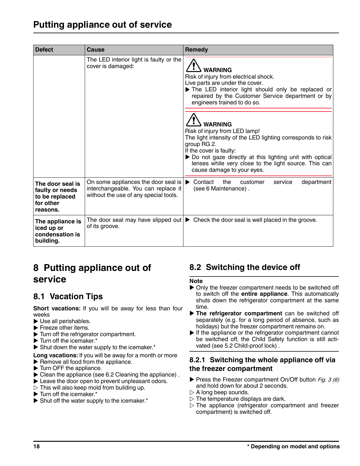# <span id="page-17-0"></span>**Putting appliance out of service**

| <b>Defect</b>                                                                  | Cause                                                                                                                                        | Remedy                                                                                                                                                                                                                                                                                                       |
|--------------------------------------------------------------------------------|----------------------------------------------------------------------------------------------------------------------------------------------|--------------------------------------------------------------------------------------------------------------------------------------------------------------------------------------------------------------------------------------------------------------------------------------------------------------|
|                                                                                | The LED interior light is faulty or the<br>cover is damaged:                                                                                 | <b>WARNING</b><br>Risk of injury from electrical shock.<br>Live parts are under the cover.<br>The LED interior light should only be replaced or<br>repaired by the Customer Service department or by<br>engineers trained to do so.                                                                          |
|                                                                                |                                                                                                                                              | <b>WARNING</b><br>Risk of injury from LED lamp!<br>The light intensity of the LED lighting corresponds to risk<br>group RG 2.<br>If the cover is faulty:<br>> Do not gaze directly at this lighting unit with optical<br>lenses while very close to the light source. This can<br>cause damage to your eyes. |
| The door seal is<br>faulty or needs<br>to be replaced<br>for other<br>reasons. | On some appliances the door seal is $\triangleright$ Contact<br>interchangeable. You can replace it<br>without the use of any special tools. | the<br>service<br>department<br>customer<br>(see 6 Maintenance).                                                                                                                                                                                                                                             |
| The appliance is<br>iced up or<br>condensation is<br>building.                 | of its groove.                                                                                                                               | The door seal may have slipped out $\blacktriangleright$ Check the door seal is well placed in the groove.                                                                                                                                                                                                   |

# **8 Putting appliance out of service**

# **8.1 Vacation Tips**

**Short vacations:** If you will be away for less than four weeks

- $\blacktriangleright$  Use all perishables.
- $\blacktriangleright$  Freeze other items.
- $\blacktriangleright$  Turn off the refrigerator compartment.
- $\blacktriangleright$  Turn off the icemaker.\*
- $\blacktriangleright$  Shut down the water supply to the icemaker.\*

**Long vacations:** If you will be away for a month or more

- $\blacktriangleright$  Remove all food from the appliance.
- $\blacktriangleright$  Turn OFF the appliance.
- $\blacktriangleright$  Clean the appliance (see 6.2 Cleaning the appliance).
- $\blacktriangleright$  Leave the door open to prevent unpleasant odors.
- $\triangleright$  This will also keep mold from building up.
- $\blacktriangleright$  Turn off the icemaker.\*
- $\blacktriangleright$  Shut off the water supply to the icemaker.\*

# **8.2 Switching the device off**

#### **Note**

- $\triangleright$  Only the freezer compartment needs to be switched off to switch off the **entire appliance**. This automatically shuts down the refrigerator compartment at the same time.
- **The refrigerator compartment** can be switched off separately (e.g. for a long period of absence, such as holidays) but the freezer compartment remains on.
- $\blacktriangleright$  If the appliance or the refrigerator compartment cannot be switched off, the Child Safety function is still activated [\(see 5.2 Child-proof lock\) .](#page-5-0)

#### **8.2.1 Switching the whole appliance off via the freezer compartment**

- Press the Freezer compartment On/Off button Fig. 3 (6) and hold down for about 2 seconds.
- $\triangleright$  A long beep sounds.
- $\triangleright$  The temperature displays are dark.
- $\triangleright$  The appliance (refrigerator compartment and freezer compartment) is switched off.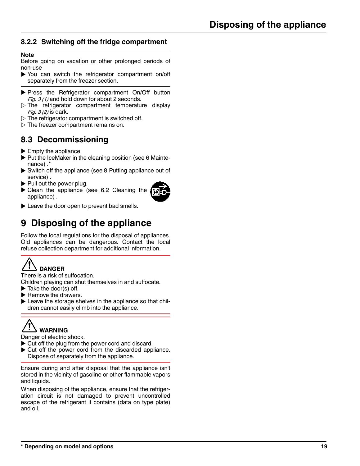#### **8.2.2 Switching off the fridge compartment**

#### **Note**

Before going on vacation or other prolonged periods of non-use

- $\triangleright$  You can switch the refrigerator compartment on/off separately from the freezer section.
- Press the Refrigerator compartment On/Off button *Fig. 3 (1)* and hold down for about 2 seconds.
- $\triangleright$  The refrigerator compartment temperature display Fig. 3 (2) is dark.
- $\triangleright$  The refrigerator compartment is switched off.
- $\triangleright$  The freezer compartment remains on.

# **8.3 Decommissioning**

- $\blacktriangleright$  Empty the appliance.
- $\blacktriangleright$  Put the IceMaker in the cleaning position [\(see 6 Mainte](#page-12-0)[nance\) .](#page-12-0)\*
- $\triangleright$  Switch off the appliance [\(see 8 Putting appliance out of](#page-17-0) [service\)](#page-17-0) .
- $\blacktriangleright$  Pull out the power plug.
- $\blacktriangleright$  Clean the appliance [\(see 6.2 Cleaning the](#page-12-0) [appliance\)](#page-12-0) .



 $\blacktriangleright$  Leave the door open to prevent bad smells.

# **9 Disposing of the appliance**

Follow the local regulations for the disposal of appliances. Old appliances can be dangerous. Contact the local refuse collection department for additional information.



There is a risk of suffocation.

Children playing can shut themselves in and suffocate.  $\blacktriangleright$  Take the door(s) off.

- $\blacktriangleright$  Remove the drawers.
- $\blacktriangleright$  Leave the storage shelves in the appliance so that children cannot easily climb into the appliance.



Danger of electric shock.

- $\triangleright$  Cut off the plug from the power cord and discard.
- $\blacktriangleright$  Cut off the power cord from the discarded appliance. Dispose of separately from the appliance.

Ensure during and after disposal that the appliance isn't stored in the vicinity of gasoline or other flammable vapors and liquids.

When disposing of the appliance, ensure that the refrigeration circuit is not damaged to prevent uncontrolled escape of the refrigerant it contains (data on type plate) and oil.